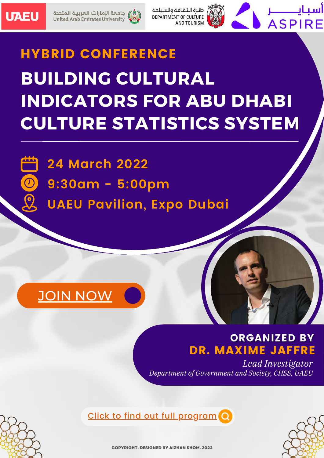



دائرة الثقافة والسياحة DEPARTMENT OF CULTURE AND TOURISM



# **BUILDING CULTURAL INDICATORS FOR ABU DHABI CULTURE STATISTICS SYSTEM** HYBRID CONFERENCE

 $\overline{\textcircled{\circ}}$ 

**24 March 2022**

- **9:30am - 5:00pm**
- **UAEU Pavilion, Expo Dubai**

## JOIN NOW

## **ORGANIZED BY** DR. MAXIME JAFFRE

*Lead Investigator Department of Government and Society, CHSS, UAEU*